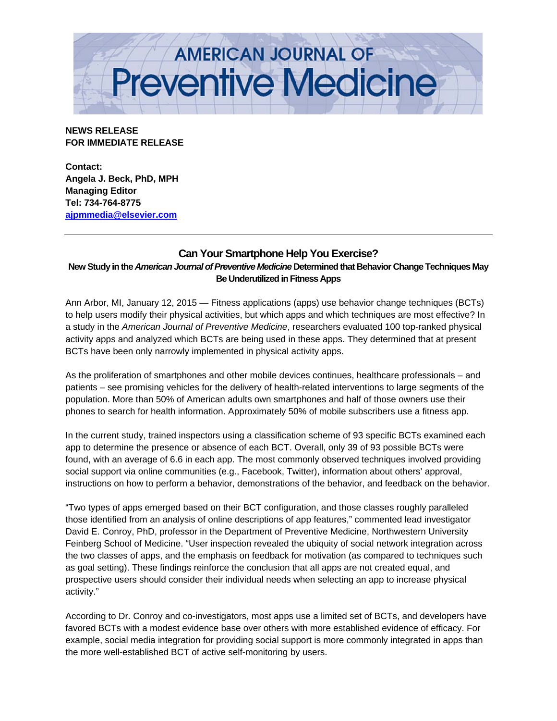

**NEWS RELEASE FOR IMMEDIATE RELEASE** 

**Contact: Angela J. Beck, PhD, MPH Managing Editor Tel: 734-764-8775 ajpmmedia@elsevier.com**

## **Can Your Smartphone Help You Exercise?**

**New Study in the** *American Journal of Preventive Medicine* **Determined that Behavior Change Techniques May Be Underutilized in Fitness Apps** 

Ann Arbor, MI, January 12, 2015 — Fitness applications (apps) use behavior change techniques (BCTs) to help users modify their physical activities, but which apps and which techniques are most effective? In a study in the *American Journal of Preventive Medicine*, researchers evaluated 100 top-ranked physical activity apps and analyzed which BCTs are being used in these apps. They determined that at present BCTs have been only narrowly implemented in physical activity apps.

As the proliferation of smartphones and other mobile devices continues, healthcare professionals – and patients – see promising vehicles for the delivery of health-related interventions to large segments of the population. More than 50% of American adults own smartphones and half of those owners use their phones to search for health information. Approximately 50% of mobile subscribers use a fitness app.

In the current study, trained inspectors using a classification scheme of 93 specific BCTs examined each app to determine the presence or absence of each BCT. Overall, only 39 of 93 possible BCTs were found, with an average of 6.6 in each app. The most commonly observed techniques involved providing social support via online communities (e.g., Facebook, Twitter), information about others' approval, instructions on how to perform a behavior, demonstrations of the behavior, and feedback on the behavior.

"Two types of apps emerged based on their BCT configuration, and those classes roughly paralleled those identified from an analysis of online descriptions of app features," commented lead investigator David E. Conroy, PhD, professor in the Department of Preventive Medicine, Northwestern University Feinberg School of Medicine. "User inspection revealed the ubiquity of social network integration across the two classes of apps, and the emphasis on feedback for motivation (as compared to techniques such as goal setting). These findings reinforce the conclusion that all apps are not created equal, and prospective users should consider their individual needs when selecting an app to increase physical activity."

According to Dr. Conroy and co-investigators, most apps use a limited set of BCTs, and developers have favored BCTs with a modest evidence base over others with more established evidence of efficacy. For example, social media integration for providing social support is more commonly integrated in apps than the more well-established BCT of active self-monitoring by users.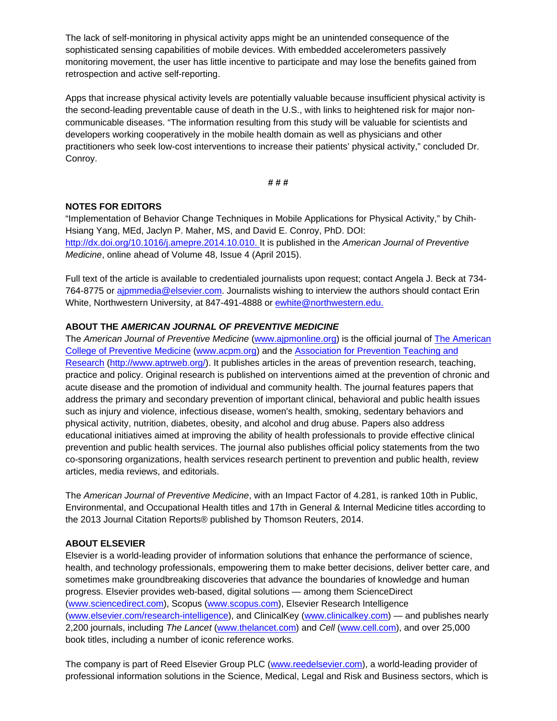The lack of self-monitoring in physical activity apps might be an unintended consequence of the sophisticated sensing capabilities of mobile devices. With embedded accelerometers passively monitoring movement, the user has little incentive to participate and may lose the benefits gained from retrospection and active self-reporting.

Apps that increase physical activity levels are potentially valuable because insufficient physical activity is the second-leading preventable cause of death in the U.S., with links to heightened risk for major noncommunicable diseases. "The information resulting from this study will be valuable for scientists and developers working cooperatively in the mobile health domain as well as physicians and other practitioners who seek low-cost interventions to increase their patients' physical activity," concluded Dr. Conroy.

**# # #** 

## **NOTES FOR EDITORS**

"Implementation of Behavior Change Techniques in Mobile Applications for Physical Activity," by Chih-Hsiang Yang, MEd, Jaclyn P. Maher, MS, and David E. Conroy, PhD. DOI: http://dx.doi.org/10.1016/j.amepre.2014.10.010. It is published in the *American Journal of Preventive Medicine*, online ahead of Volume 48, Issue 4 (April 2015).

Full text of the article is available to credentialed journalists upon request; contact Angela J. Beck at 734- 764-8775 or ajpmmedia@elsevier.com. Journalists wishing to interview the authors should contact Erin White, Northwestern University, at 847-491-4888 or ewhite@northwestern.edu.

## **ABOUT THE** *AMERICAN JOURNAL OF PREVENTIVE MEDICINE*

The *American Journal of Preventive Medicine* (www.ajpmonline.org) is the official journal of The American College of Preventive Medicine (www.acpm.org) and the Association for Prevention Teaching and Research (http://www.aptrweb.org/). It publishes articles in the areas of prevention research, teaching, practice and policy. Original research is published on interventions aimed at the prevention of chronic and acute disease and the promotion of individual and community health. The journal features papers that address the primary and secondary prevention of important clinical, behavioral and public health issues such as injury and violence, infectious disease, women's health, smoking, sedentary behaviors and physical activity, nutrition, diabetes, obesity, and alcohol and drug abuse. Papers also address educational initiatives aimed at improving the ability of health professionals to provide effective clinical prevention and public health services. The journal also publishes official policy statements from the two co-sponsoring organizations, health services research pertinent to prevention and public health, review articles, media reviews, and editorials.

The *American Journal of Preventive Medicine*, with an Impact Factor of 4.281, is ranked 10th in Public, Environmental, and Occupational Health titles and 17th in General & Internal Medicine titles according to the 2013 Journal Citation Reports® published by Thomson Reuters, 2014.

## **ABOUT ELSEVIER**

Elsevier is a world-leading provider of information solutions that enhance the performance of science, health, and technology professionals, empowering them to make better decisions, deliver better care, and sometimes make groundbreaking discoveries that advance the boundaries of knowledge and human progress. Elsevier provides web-based, digital solutions — among them ScienceDirect (www.sciencedirect.com), Scopus (www.scopus.com), Elsevier Research Intelligence (www.elsevier.com/research-intelligence), and ClinicalKey (www.clinicalkey.com) — and publishes nearly 2,200 journals, including *The Lancet* (www.thelancet.com) and *Cell* (www.cell.com), and over 25,000 book titles, including a number of iconic reference works.

The company is part of Reed Elsevier Group PLC (www.reedelsevier.com), a world-leading provider of professional information solutions in the Science, Medical, Legal and Risk and Business sectors, which is